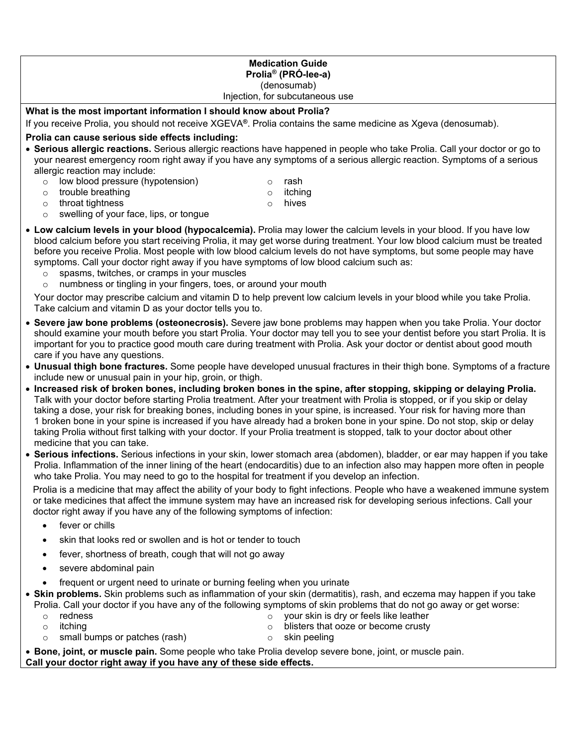#### **Medication Guide Prolia® (PRÓ-lee-a)**  (denosumab) Injection, for subcutaneous use

#### **What is the most important information I should know about Prolia?**

If you receive Prolia, you should not receive XGEVA**®**. Prolia contains the same medicine as Xgeva (denosumab).

#### **Prolia can cause serious side effects including:**

- **Serious allergic reactions.** Serious allergic reactions have happened in people who take Prolia. Call your doctor or go to your nearest emergency room right away if you have any symptoms of a serious allergic reaction. Symptoms of a serious allergic reaction may include:
	- $\circ$  low blood pressure (hypotension)<br> $\circ$  trouble breathing o rash
	- $\circ$  trouble breathing<br> $\circ$  throat tightness

 $\circ$  itching<br> $\circ$  hives hives

- throat tightness
- o swelling of your face, lips, or tongue
- **Low calcium levels in your blood (hypocalcemia).** Prolia may lower the calcium levels in your blood. If you have low blood calcium before you start receiving Prolia, it may get worse during treatment. Your low blood calcium must be treated before you receive Prolia. Most people with low blood calcium levels do not have symptoms, but some people may have symptoms. Call your doctor right away if you have symptoms of low blood calcium such as:
	- $\circ$  spasms, twitches, or cramps in your muscles  $\circ$  numbness or tingling in your fingers, toes, or
	- numbness or tingling in your fingers, toes, or around your mouth

Your doctor may prescribe calcium and vitamin D to help prevent low calcium levels in your blood while you take Prolia. Take calcium and vitamin D as your doctor tells you to.

- **Severe jaw bone problems (osteonecrosis).** Severe jaw bone problems may happen when you take Prolia. Your doctor should examine your mouth before you start Prolia. Your doctor may tell you to see your dentist before you start Prolia. It is important for you to practice good mouth care during treatment with Prolia. Ask your doctor or dentist about good mouth care if you have any questions.
- **Unusual thigh bone fractures.** Some people have developed unusual fractures in their thigh bone. Symptoms of a fracture include new or unusual pain in your hip, groin, or thigh.
- **Increased risk of broken bones, including broken bones in the spine, after stopping, skipping or delaying Prolia.**  Talk with your doctor before starting Prolia treatment. After your treatment with Prolia is stopped, or if you skip or delay taking a dose, your risk for breaking bones, including bones in your spine, is increased. Your risk for having more than 1 broken bone in your spine is increased if you have already had a broken bone in your spine. Do not stop, skip or delay taking Prolia without first talking with your doctor. If your Prolia treatment is stopped, talk to your doctor about other medicine that you can take.
- **Serious infections.** Serious infections in your skin, lower stomach area (abdomen), bladder, or ear may happen if you take Prolia. Inflammation of the inner lining of the heart (endocarditis) due to an infection also may happen more often in people who take Prolia. You may need to go to the hospital for treatment if you develop an infection.

Prolia is a medicine that may affect the ability of your body to fight infections. People who have a weakened immune system or take medicines that affect the immune system may have an increased risk for developing serious infections. Call your doctor right away if you have any of the following symptoms of infection:

- fever or chills
- skin that looks red or swollen and is hot or tender to touch
- fever, shortness of breath, cough that will not go away
- severe abdominal pain
- frequent or urgent need to urinate or burning feeling when you urinate
- **Skin problems.** Skin problems such as inflammation of your skin (dermatitis), rash, and eczema may happen if you take Prolia. Call your doctor if you have any of the following symptoms of skin problems that do not go away or get worse:
	- o redness
	- o itching

o your skin is dry or feels like leather

- o blisters that ooze or become crusty
- o small bumps or patches (rash)
- o skin peeling

• **Bone, joint, or muscle pain.** Some people who take Prolia develop severe bone, joint, or muscle pain. **Call your doctor right away if you have any of these side effects.**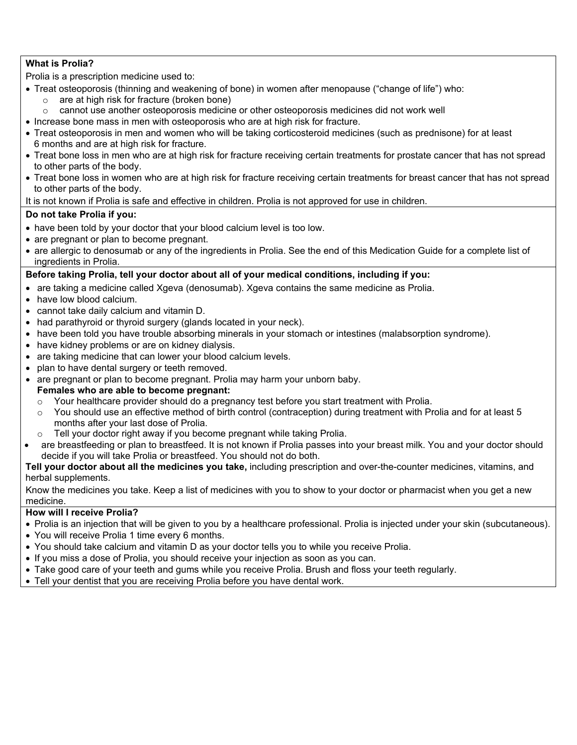# **What is Prolia?**

Prolia is a prescription medicine used to:

- Treat osteoporosis (thinning and weakening of bone) in women after menopause ("change of life") who:
	- $\circ$  are at high risk for fracture (broken bone)<br>  $\circ$  cannot use another osteoporosis medicine
	- o cannot use another osteoporosis medicine or other osteoporosis medicines did not work well
- Increase bone mass in men with osteoporosis who are at high risk for fracture.
- Treat osteoporosis in men and women who will be taking corticosteroid medicines (such as prednisone) for at least 6 months and are at high risk for fracture.
- Treat bone loss in men who are at high risk for fracture receiving certain treatments for prostate cancer that has not spread to other parts of the body.
- Treat bone loss in women who are at high risk for fracture receiving certain treatments for breast cancer that has not spread to other parts of the body.

#### It is not known if Prolia is safe and effective in children. Prolia is not approved for use in children.

# **Do not take Prolia if you:**

- have been told by your doctor that your blood calcium level is too low.
- are pregnant or plan to become pregnant.
- are allergic to denosumab or any of the ingredients in Prolia. See the end of this Medication Guide for a complete list of ingredients in Prolia.

## **Before taking Prolia, tell your doctor about all of your medical conditions, including if you:**

- are taking a medicine called Xgeva (denosumab). Xgeva contains the same medicine as Prolia.
- have low blood calcium.
- cannot take daily calcium and vitamin D.
- had parathyroid or thyroid surgery (glands located in your neck).
- have been told you have trouble absorbing minerals in your stomach or intestines (malabsorption syndrome).
- have kidney problems or are on kidney dialysis.
- are taking medicine that can lower your blood calcium levels.
- plan to have dental surgery or teeth removed.
- are pregnant or plan to become pregnant. Prolia may harm your unborn baby.

#### **Females who are able to become pregnant:**

- o Your healthcare provider should do a pregnancy test before you start treatment with Prolia.<br>C. You should use an effective method of birth control (contracention) during treatment with Pr
- You should use an effective method of birth control (contraception) during treatment with Prolia and for at least 5 months after your last dose of Prolia.
- o Tell your doctor right away if you become pregnant while taking Prolia.
- are breastfeeding or plan to breastfeed. It is not known if Prolia passes into your breast milk. You and your doctor should decide if you will take Prolia or breastfeed. You should not do both.

**Tell your doctor about all the medicines you take,** including prescription and over-the-counter medicines, vitamins, and herbal supplements.

Know the medicines you take. Keep a list of medicines with you to show to your doctor or pharmacist when you get a new medicine.

#### **How will I receive Prolia?**

- Prolia is an injection that will be given to you by a healthcare professional. Prolia is injected under your skin (subcutaneous).
- You will receive Prolia 1 time every 6 months.
- You should take calcium and vitamin D as your doctor tells you to while you receive Prolia.
- If you miss a dose of Prolia, you should receive your injection as soon as you can.
- Take good care of your teeth and gums while you receive Prolia. Brush and floss your teeth regularly.
- Tell your dentist that you are receiving Prolia before you have dental work.